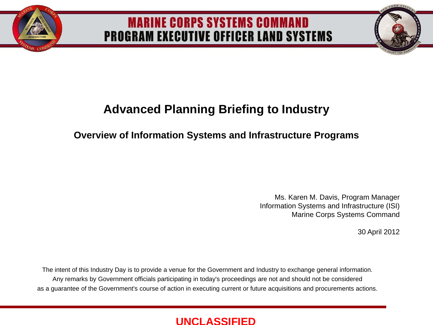

### **MARINE CORPS SYSTEMS COMMAND PROGRAM EXECUTIVE OFFICER LAND SYSTEMS**

### **Advanced Planning Briefing to Industry**

#### **Overview of Information Systems and Infrastructure Programs**

Ms. Karen M. Davis, Program Manager Information Systems and Infrastructure (ISI) Marine Corps Systems Command

30 April 2012

The intent of this Industry Day is to provide a venue for the Government and Industry to exchange general information. Any remarks by Government officials participating in today's proceedings are not and should not be considered as a guarantee of the Government's course of action in executing current or future acquisitions and procurements actions.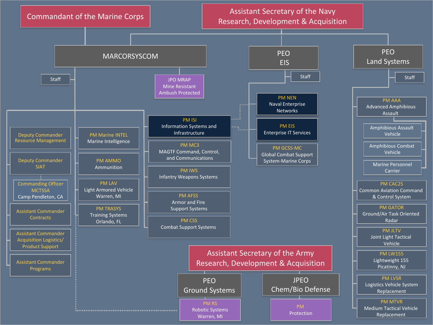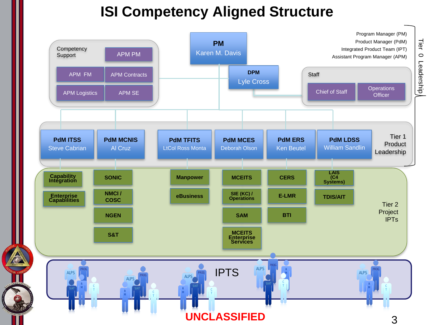# **ISI Competency Aligned Structure**

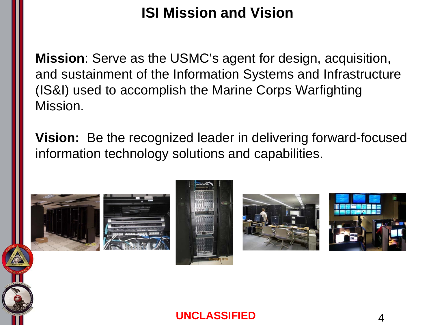# **ISI Mission and Vision**

**Mission**: Serve as the USMC's agent for design, acquisition, and sustainment of the Information Systems and Infrastructure (IS&I) used to accomplish the Marine Corps Warfighting Mission.

**Vision:** Be the recognized leader in delivering forward-focused information technology solutions and capabilities.









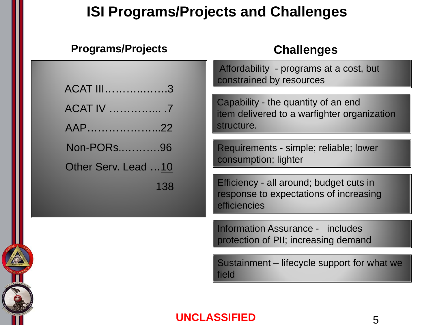## **ISI Programs/Projects and Challenges**

#### **Programs/Projects**

### **Challenges**

| Affordability - programs at a cost, but<br>constrained by resources                               |  |  |  |
|---------------------------------------------------------------------------------------------------|--|--|--|
| Capability - the quantity of an end<br>item delivered to a warfighter organization                |  |  |  |
| structure.                                                                                        |  |  |  |
| Requirements - simple; reliable; lower                                                            |  |  |  |
| consumption; lighter                                                                              |  |  |  |
| Efficiency - all around; budget cuts in<br>response to expectations of increasing<br>efficiencies |  |  |  |
| <b>Information Assurance - includes</b><br>protection of PII; increasing demand                   |  |  |  |
| Sustainment – lifecycle support for what we<br>field                                              |  |  |  |
|                                                                                                   |  |  |  |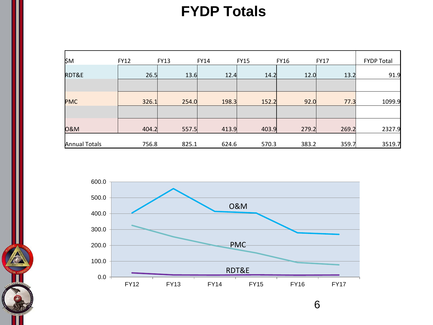## **FYDP Totals**

| ₿м                   | <b>FY12</b> | <b>FY13</b> | <b>FY14</b> | <b>FY15</b> | <b>FY16</b> | <b>FY17</b> | <b>FYDP Total</b> |
|----------------------|-------------|-------------|-------------|-------------|-------------|-------------|-------------------|
| RDT&E                | 26.5        | 13.6        | 12.4        | 14.2        | 12.0        | 13.2        | 91.9              |
|                      |             |             |             |             |             |             |                   |
| <b>PMC</b>           | 326.1       | 254.0       | 198.3       | 152.2       | 92.0        | 77.3        | 1099.9            |
|                      |             |             |             |             |             |             |                   |
| <b>0&amp;M</b>       | 404.2       | 557.5       | 413.9       | 403.9       | 279.2       | 269.2       | 2327.9            |
| <b>Annual Totals</b> | 756.8       | 825.1       | 624.6       | 570.3       | 383.2       | 359.7       | 3519.7            |



6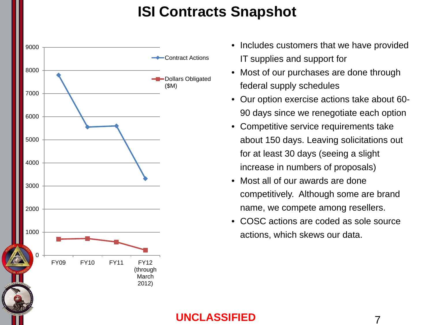## **ISI Contracts Snapshot**



- Includes customers that we have provided IT supplies and support for
- Most of our purchases are done through federal supply schedules
- Our option exercise actions take about 60- 90 days since we renegotiate each option
- Competitive service requirements take about 150 days. Leaving solicitations out for at least 30 days (seeing a slight increase in numbers of proposals)
- Most all of our awards are done competitively. Although some are brand name, we compete among resellers.
- COSC actions are coded as sole source actions, which skews our data.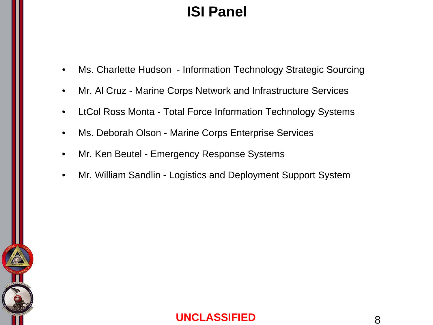# **ISI Panel**

- Ms. Charlette Hudson Information Technology Strategic Sourcing
- Mr. Al Cruz Marine Corps Network and Infrastructure Services
- LtCol Ross Monta Total Force Information Technology Systems
- Ms. Deborah Olson Marine Corps Enterprise Services
- Mr. Ken Beutel Emergency Response Systems
- Mr. William Sandlin Logistics and Deployment Support System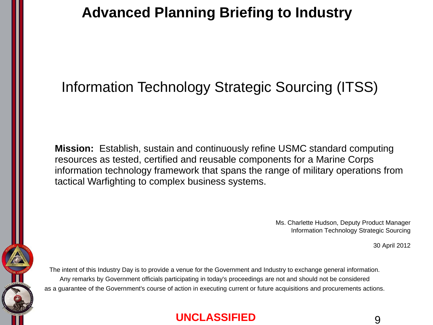# Information Technology Strategic Sourcing (ITSS)

 **Mission:** Establish, sustain and continuously refine USMC standard computing resources as tested, certified and reusable components for a Marine Corps information technology framework that spans the range of military operations from tactical Warfighting to complex business systems.

> Ms. Charlette Hudson, Deputy Product Manager Information Technology Strategic Sourcing

> > 30 April 2012

The intent of this Industry Day is to provide a venue for the Government and Industry to exchange general information. Any remarks by Government officials participating in today's proceedings are not and should not be considered as a guarantee of the Government's course of action in executing current or future acquisitions and procurements actions.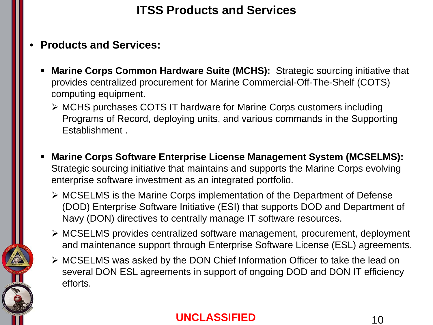### **ITSS Products and Services**

- **Products and Services:**
	- **Marine Corps Common Hardware Suite (MCHS):** Strategic sourcing initiative that provides centralized procurement for Marine Commercial-Off-The-Shelf (COTS) computing equipment.
		- MCHS purchases COTS IT hardware for Marine Corps customers including Programs of Record, deploying units, and various commands in the Supporting Establishment .
	- **Marine Corps Software Enterprise License Management System (MCSELMS):**  Strategic sourcing initiative that maintains and supports the Marine Corps evolving enterprise software investment as an integrated portfolio.
		- MCSELMS is the Marine Corps implementation of the Department of Defense (DOD) Enterprise Software Initiative (ESI) that supports DOD and Department of Navy (DON) directives to centrally manage IT software resources.
		- MCSELMS provides centralized software management, procurement, deployment and maintenance support through Enterprise Software License (ESL) agreements.
		- MCSELMS was asked by the DON Chief Information Officer to take the lead on several DON ESL agreements in support of ongoing DOD and DON IT efficiency efforts.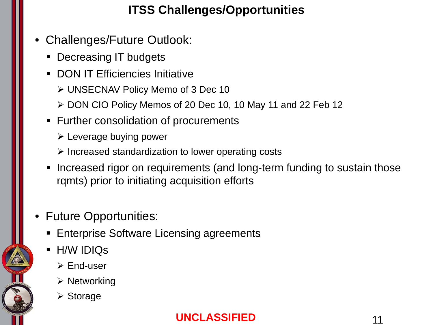### **ITSS Challenges/Opportunities**

- Challenges/Future Outlook:
	- Decreasing IT budgets
	- DON IT Efficiencies Initiative
		- UNSECNAV Policy Memo of 3 Dec 10
		- ▶ DON CIO Policy Memos of 20 Dec 10, 10 May 11 and 22 Feb 12
	- Further consolidation of procurements
		- $\triangleright$  Leverage buying power
		- $\triangleright$  Increased standardization to lower operating costs
	- Increased rigor on requirements (and long-term funding to sustain those rqmts) prior to initiating acquisition efforts
- Future Opportunities:
	- **Enterprise Software Licensing agreements**
	- **H/W IDIQS** 
		- $\triangleright$  End-user
		- $\triangleright$  Networking
		- **≻** Storage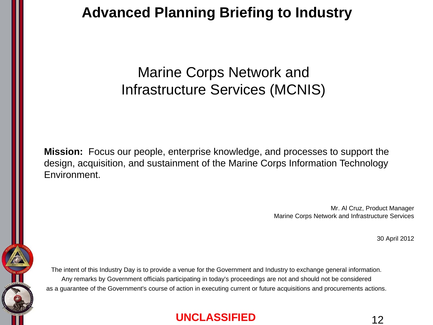Marine Corps Network and Infrastructure Services (MCNIS)

**Mission:** Focus our people, enterprise knowledge, and processes to support the design, acquisition, and sustainment of the Marine Corps Information Technology Environment.

> Mr. Al Cruz, Product Manager Marine Corps Network and Infrastructure Services

> > 30 April 2012

The intent of this Industry Day is to provide a venue for the Government and Industry to exchange general information. Any remarks by Government officials participating in today's proceedings are not and should not be considered as a guarantee of the Government's course of action in executing current or future acquisitions and procurements actions.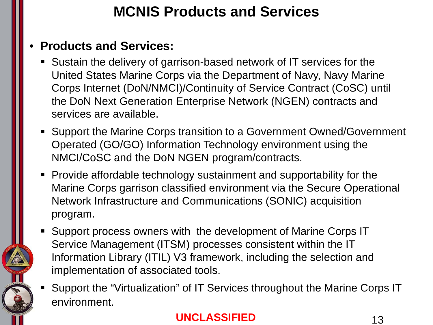# **MCNIS Products and Services**

#### • **Products and Services:**

- Sustain the delivery of garrison-based network of IT services for the United States Marine Corps via the Department of Navy, Navy Marine Corps Internet (DoN/NMCI)/Continuity of Service Contract (CoSC) until the DoN Next Generation Enterprise Network (NGEN) contracts and services are available.
- Support the Marine Corps transition to a Government Owned/Government Operated (GO/GO) Information Technology environment using the NMCI/CoSC and the DoN NGEN program/contracts.
- Provide affordable technology sustainment and supportability for the Marine Corps garrison classified environment via the Secure Operational Network Infrastructure and Communications (SONIC) acquisition program.
- Support process owners with the development of Marine Corps IT Service Management (ITSM) processes consistent within the IT Information Library (ITIL) V3 framework, including the selection and implementation of associated tools.
- Support the "Virtualization" of IT Services throughout the Marine Corps IT environment.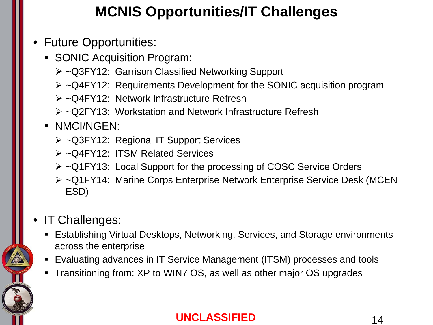# **MCNIS Opportunities/IT Challenges**

### • Future Opportunities:

- **SONIC Acquisition Program:** 
	- ~Q3FY12: Garrison Classified Networking Support
	- $\triangleright$  ~Q4FY12: Requirements Development for the SONIC acquisition program
	- ~Q4FY12: Network Infrastructure Refresh
	- ~Q2FY13: Workstation and Network Infrastructure Refresh

### **NMCI/NGEN:**

- ~Q3FY12: Regional IT Support Services
- ~Q4FY12: ITSM Related Services
- ~Q1FY13: Local Support for the processing of COSC Service Orders
- ~Q1FY14: Marine Corps Enterprise Network Enterprise Service Desk (MCEN ESD)

### • IT Challenges:

- Establishing Virtual Desktops, Networking, Services, and Storage environments across the enterprise
- Evaluating advances in IT Service Management (ITSM) processes and tools
- **Transitioning from: XP to WIN7 OS, as well as other major OS upgrades**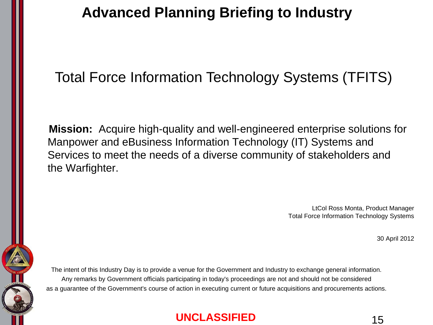## Total Force Information Technology Systems (TFITS)

 **Mission:** Acquire high-quality and well-engineered enterprise solutions for Manpower and eBusiness Information Technology (IT) Systems and Services to meet the needs of a diverse community of stakeholders and the Warfighter.

> LtCol Ross Monta, Product Manager Total Force Information Technology Systems

> > 30 April 2012

The intent of this Industry Day is to provide a venue for the Government and Industry to exchange general information. Any remarks by Government officials participating in today's proceedings are not and should not be considered as a guarantee of the Government's course of action in executing current or future acquisitions and procurements actions.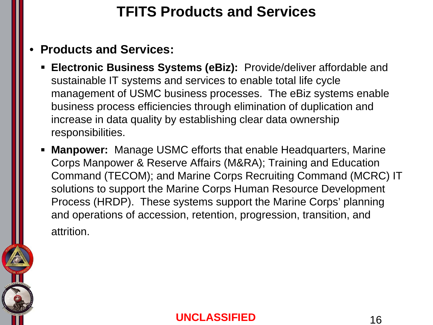# **TFITS Products and Services**

### • **Products and Services:**

- **Electronic Business Systems (eBiz):** Provide/deliver affordable and sustainable IT systems and services to enable total life cycle management of USMC business processes. The eBiz systems enable business process efficiencies through elimination of duplication and increase in data quality by establishing clear data ownership responsibilities.
- **Manpower:** Manage USMC efforts that enable Headquarters, Marine Corps Manpower & Reserve Affairs (M&RA); Training and Education Command (TECOM); and Marine Corps Recruiting Command (MCRC) IT solutions to support the Marine Corps Human Resource Development Process (HRDP). These systems support the Marine Corps' planning and operations of accession, retention, progression, transition, and attrition.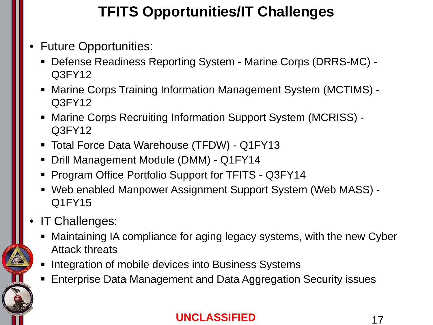# **TFITS Opportunities/IT Challenges**

- Future Opportunities:
	- Defense Readiness Reporting System Marine Corps (DRRS-MC) Q3FY12
	- Marine Corps Training Information Management System (MCTIMS) Q3FY12
	- Marine Corps Recruiting Information Support System (MCRISS) Q3FY12
	- Total Force Data Warehouse (TFDW) Q1FY13
	- Drill Management Module (DMM) Q1FY14
	- **Program Office Portfolio Support for TFITS Q3FY14**
	- Web enabled Manpower Assignment Support System (Web MASS) Q1FY15
- IT Challenges:
	- Maintaining IA compliance for aging legacy systems, with the new Cyber Attack threats
	- **Integration of mobile devices into Business Systems**
	- **Enterprise Data Management and Data Aggregation Security issues**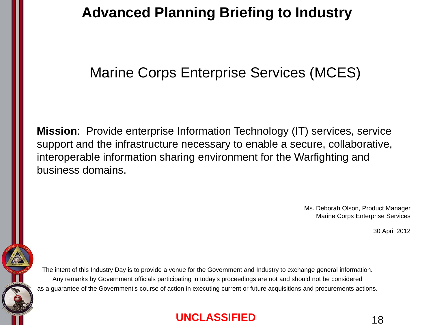## Marine Corps Enterprise Services (MCES)

**Mission**: Provide enterprise Information Technology (IT) services, service support and the infrastructure necessary to enable a secure, collaborative, interoperable information sharing environment for the Warfighting and business domains.

> Ms. Deborah Olson, Product Manager Marine Corps Enterprise Services

> > 30 April 2012

The intent of this Industry Day is to provide a venue for the Government and Industry to exchange general information. Any remarks by Government officials participating in today's proceedings are not and should not be considered as a guarantee of the Government's course of action in executing current or future acquisitions and procurements actions.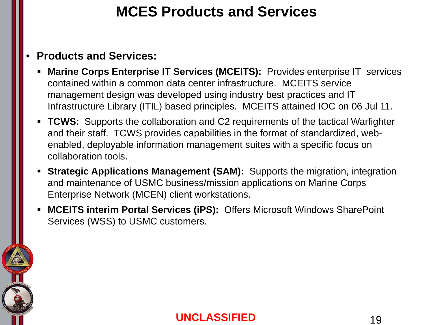# **MCES Products and Services**

#### • **Products and Services:**

- **Marine Corps Enterprise IT Services (MCEITS):** Provides enterprise IT services contained within a common data center infrastructure. MCEITS service management design was developed using industry best practices and IT Infrastructure Library (ITIL) based principles. MCEITS attained IOC on 06 Jul 11.
- **TCWS:** Supports the collaboration and C2 requirements of the tactical Warfighter and their staff. TCWS provides capabilities in the format of standardized, webenabled, deployable information management suites with a specific focus on collaboration tools.
- **Strategic Applications Management (SAM):** Supports the migration, integration and maintenance of USMC business/mission applications on Marine Corps Enterprise Network (MCEN) client workstations.
- **MCEITS interim Portal Services (iPS):** Offers Microsoft Windows SharePoint Services (WSS) to USMC customers.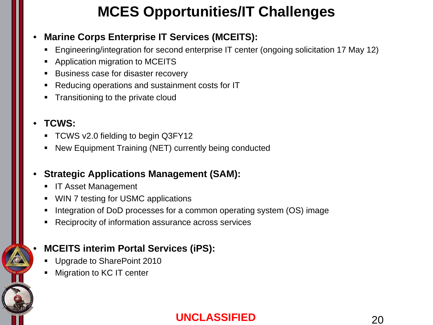# **MCES Opportunities/IT Challenges**

#### • **Marine Corps Enterprise IT Services (MCEITS):**

- Engineering/integration for second enterprise IT center (ongoing solicitation 17 May 12)
- Application migration to MCEITS
- **Business case for disaster recovery**
- Reducing operations and sustainment costs for IT
- Transitioning to the private cloud

#### • **TCWS:**

- TCWS v2.0 fielding to begin Q3FY12
- New Equipment Training (NET) currently being conducted

#### • **Strategic Applications Management (SAM):**

- **IF Asset Management**
- WIN 7 testing for USMC applications
- Integration of DoD processes for a common operating system (OS) image
- Reciprocity of information assurance across services

#### • **MCEITS interim Portal Services (iPS):**

- Upgrade to SharePoint 2010
- Migration to KC IT center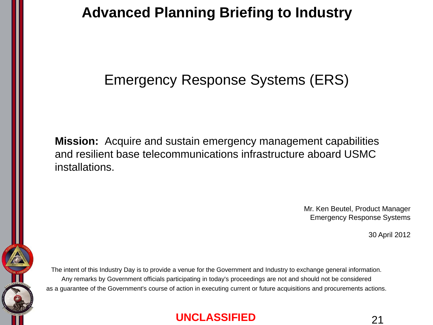## Emergency Response Systems (ERS)

**Mission:** Acquire and sustain emergency management capabilities and resilient base telecommunications infrastructure aboard USMC installations.

> Mr. Ken Beutel, Product Manager Emergency Response Systems

> > 30 April 2012

The intent of this Industry Day is to provide a venue for the Government and Industry to exchange general information. Any remarks by Government officials participating in today's proceedings are not and should not be considered as a guarantee of the Government's course of action in executing current or future acquisitions and procurements actions.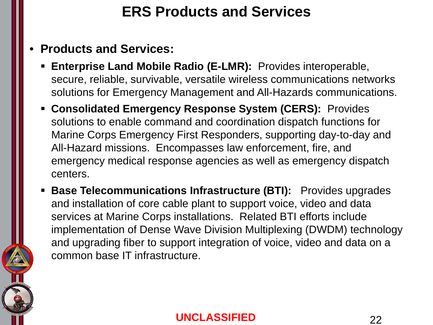# **ERS Products and Services**

- **Products and Services:**
	- **Enterprise Land Mobile Radio (E-LMR):** Provides interoperable, secure, reliable, survivable, versatile wireless communications networks solutions for Emergency Management and All-Hazards communications.
	- **Consolidated Emergency Response System (CERS):** Provides solutions to enable command and coordination dispatch functions for Marine Corps Emergency First Responders, supporting day-to-day and All-Hazard missions. Encompasses law enforcement, fire, and emergency medical response agencies as well as emergency dispatch centers.
	- **Base Telecommunications Infrastructure (BTI):** Provides upgrades and installation of core cable plant to support voice, video and data services at Marine Corps installations. Related BTI efforts include implementation of Dense Wave Division Multiplexing (DWDM) technology and upgrading fiber to support integration of voice, video and data on a common base IT infrastructure.

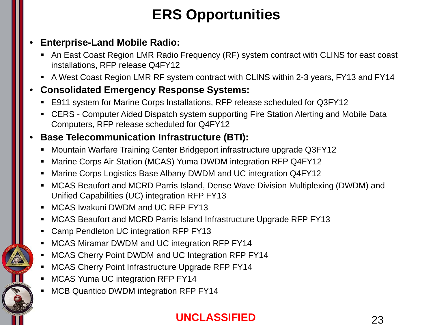# **ERS Opportunities**

#### • **Enterprise-Land Mobile Radio:**

- An East Coast Region LMR Radio Frequency (RF) system contract with CLINS for east coast installations, RFP release Q4FY12
- A West Coast Region LMR RF system contract with CLINS within 2-3 years, FY13 and FY14

#### • **Consolidated Emergency Response Systems:**

- E911 system for Marine Corps Installations, RFP release scheduled for Q3FY12
- CERS Computer Aided Dispatch system supporting Fire Station Alerting and Mobile Data Computers, RFP release scheduled for Q4FY12

#### • **Base Telecommunication Infrastructure (BTI):**

- Mountain Warfare Training Center Bridgeport infrastructure upgrade Q3FY12
- Marine Corps Air Station (MCAS) Yuma DWDM integration RFP Q4FY12
- Marine Corps Logistics Base Albany DWDM and UC integration Q4FY12
- MCAS Beaufort and MCRD Parris Island, Dense Wave Division Multiplexing (DWDM) and Unified Capabilities (UC) integration RFP FY13
- **MCAS Iwakuni DWDM and UC RFP FY13**
- MCAS Beaufort and MCRD Parris Island Infrastructure Upgrade RFP FY13
- **EX Camp Pendleton UC integration RFP FY13**
- MCAS Miramar DWDM and UC integration RFP FY14
- **MCAS Cherry Point DWDM and UC Integration RFP FY14**
- MCAS Cherry Point Infrastructure Upgrade RFP FY14
- MCAS Yuma UC integration RFP FY14
- MCB Quantico DWDM integration RFP FY14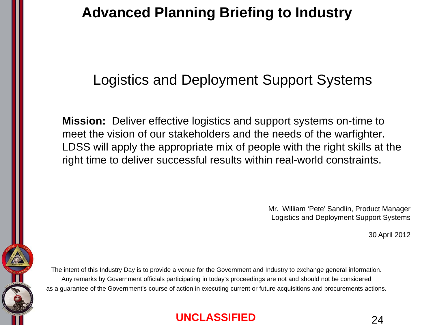## Logistics and Deployment Support Systems

**Mission:** Deliver effective logistics and support systems on-time to meet the vision of our stakeholders and the needs of the warfighter. LDSS will apply the appropriate mix of people with the right skills at the right time to deliver successful results within real-world constraints.

> Mr. William 'Pete' Sandlin, Product Manager Logistics and Deployment Support Systems

> > 30 April 2012

The intent of this Industry Day is to provide a venue for the Government and Industry to exchange general information. Any remarks by Government officials participating in today's proceedings are not and should not be considered as a guarantee of the Government's course of action in executing current or future acquisitions and procurements actions.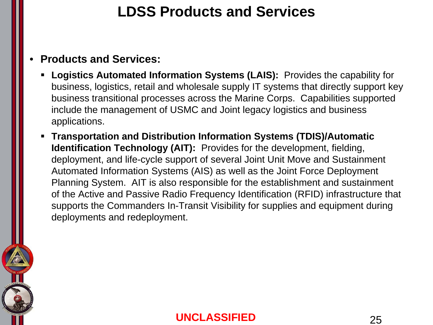## **LDSS Products and Services**

#### • **Products and Services:**

- **Logistics Automated Information Systems (LAIS):** Provides the capability for business, logistics, retail and wholesale supply IT systems that directly support key business transitional processes across the Marine Corps. Capabilities supported include the management of USMC and Joint legacy logistics and business applications.
- **Transportation and Distribution Information Systems (TDIS)/Automatic Identification Technology (AIT):** Provides for the development, fielding, deployment, and life-cycle support of several Joint Unit Move and Sustainment Automated Information Systems (AIS) as well as the Joint Force Deployment Planning System. AIT is also responsible for the establishment and sustainment of the Active and Passive Radio Frequency Identification (RFID) infrastructure that supports the Commanders In-Transit Visibility for supplies and equipment during deployments and redeployment.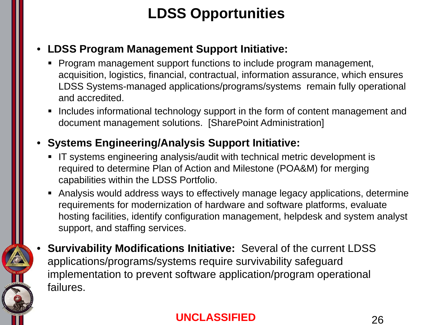# **LDSS Opportunities**

#### • **LDSS Program Management Support Initiative:**

- **Program management support functions to include program management,** acquisition, logistics, financial, contractual, information assurance, which ensures LDSS Systems-managed applications/programs/systems remain fully operational and accredited.
- **Includes informational technology support in the form of content management and** document management solutions. [SharePoint Administration]

#### • **Systems Engineering/Analysis Support Initiative:**

- IT systems engineering analysis/audit with technical metric development is required to determine Plan of Action and Milestone (POA&M) for merging capabilities within the LDSS Portfolio.
- Analysis would address ways to effectively manage legacy applications, determine requirements for modernization of hardware and software platforms, evaluate hosting facilities, identify configuration management, helpdesk and system analyst support, and staffing services.
- **Survivability Modifications Initiative:** Several of the current LDSS applications/programs/systems require survivability safeguard implementation to prevent software application/program operational failures.